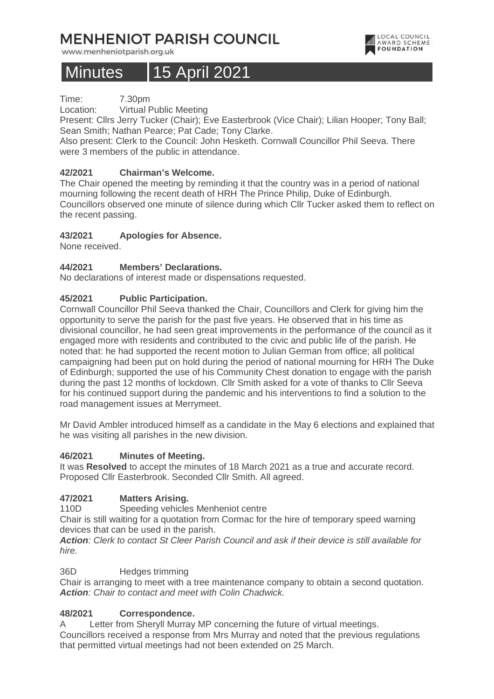## **MENHENIOT PARISH COUNCIL**

www.menheniotparish.org.uk

# Minutes | 15 April 2021

Time: 7.30pm

Location: Virtual Public Meeting

Present: Cllrs Jerry Tucker (Chair); Eve Easterbrook (Vice Chair); Lilian Hooper; Tony Ball; Sean Smith; Nathan Pearce; Pat Cade; Tony Clarke.

Also present: Clerk to the Council: John Hesketh. Cornwall Councillor Phil Seeva. There were 3 members of the public in attendance.

## **42/2021 Chairman's Welcome.**

The Chair opened the meeting by reminding it that the country was in a period of national mourning following the recent death of HRH The Prince Philip, Duke of Edinburgh. Councillors observed one minute of silence during which Cllr Tucker asked them to reflect on the recent passing.

## **43/2021 Apologies for Absence.**

None received.

## **44/2021 Members' Declarations.**

No declarations of interest made or dispensations requested.

## **45/2021 Public Participation.**

Cornwall Councillor Phil Seeva thanked the Chair, Councillors and Clerk for giving him the opportunity to serve the parish for the past five years. He observed that in his time as divisional councillor, he had seen great improvements in the performance of the council as it engaged more with residents and contributed to the civic and public life of the parish. He noted that: he had supported the recent motion to Julian German from office; all political campaigning had been put on hold during the period of national mourning for HRH The Duke of Edinburgh; supported the use of his Community Chest donation to engage with the parish during the past 12 months of lockdown. Cllr Smith asked for a vote of thanks to Cllr Seeva for his continued support during the pandemic and his interventions to find a solution to the road management issues at Merrymeet.

Mr David Ambler introduced himself as a candidate in the May 6 elections and explained that he was visiting all parishes in the new division.

#### **46/2021 Minutes of Meeting.**

It was **Resolved** to accept the minutes of 18 March 2021 as a true and accurate record. Proposed Cllr Easterbrook. Seconded Cllr Smith. All agreed.

## **47/2021 Matters Arising.**

110D Speeding vehicles Menheniot centre

Chair is still waiting for a quotation from Cormac for the hire of temporary speed warning devices that can be used in the parish.

**Action**: Clerk to contact St Cleer Parish Council and ask if their device is still available for hire.

#### 36D Hedges trimming

Chair is arranging to meet with a tree maintenance company to obtain a second quotation. **Action**: Chair to contact and meet with Colin Chadwick.

## **48/2021 Correspondence.**

A Letter from Sheryll Murray MP concerning the future of virtual meetings. Councillors received a response from Mrs Murray and noted that the previous regulations that permitted virtual meetings had not been extended on 25 March.

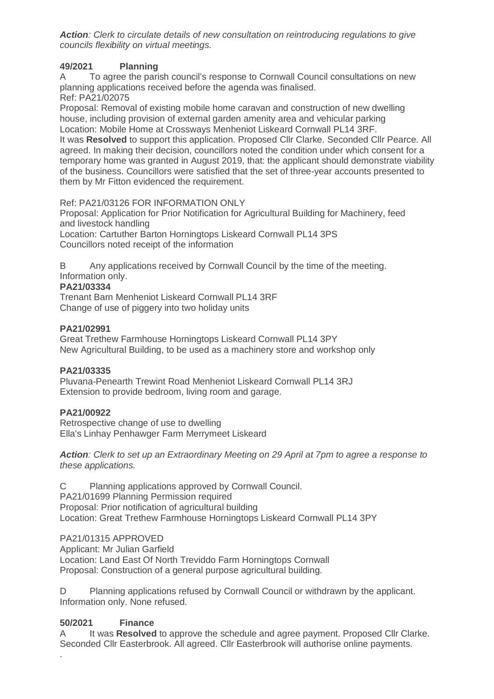**Action**: Clerk to circulate details of new consultation on reintroducing regulations to give councils flexibility on virtual meetings.

### **49/2021 Planning**

A To agree the parish council's response to Cornwall Council consultations on new planning applications received before the agenda was finalised.

Ref: PA21/02075

Proposal: Removal of existing mobile home caravan and construction of new dwelling house, including provision of external garden amenity area and vehicular parking Location: Mobile Home at Crossways Menheniot Liskeard Cornwall PL14 3RF. It was **Resolved** to support this application. Proposed Cllr Clarke. Seconded Cllr Pearce. All agreed. In making their decision, councillors noted the condition under which consent for a temporary home was granted in August 2019, that: the applicant should demonstrate viability of the business. Councillors were satisfied that the set of three-year accounts presented to them by Mr Fitton evidenced the requirement.

#### Ref: PA21/03126 FOR INFORMATION ONLY

Proposal: Application for Prior Notification for Agricultural Building for Machinery, feed and livestock handling

Location: Cartuther Barton Horningtops Liskeard Cornwall PL14 3PS Councillors noted receipt of the information

B Any applications received by Cornwall Council by the time of the meeting. Information only.

#### **PA21/03334**

Trenant Barn Menheniot Liskeard Cornwall PL14 3RF Change of use of piggery into two holiday units

#### **PA21/02991**

Great Trethew Farmhouse Horningtops Liskeard Cornwall PL14 3PY New Agricultural Building, to be used as a machinery store and workshop only

#### **PA21/03335**

Pluvana-Penearth Trewint Road Menheniot Liskeard Cornwall PL14 3RJ Extension to provide bedroom, living room and garage.

#### **PA21/00922**

Retrospective change of use to dwelling Ella's Linhay Penhawger Farm Merrymeet Liskeard

**Action**: Clerk to set up an Extraordinary Meeting on 29 April at 7pm to agree a response to these applications.

C Planning applications approved by Cornwall Council. PA21/01699 Planning Permission required Proposal: Prior notification of agricultural building Location: Great Trethew Farmhouse Horningtops Liskeard Cornwall PL14 3PY

#### PA21/01315 APPROVED

Applicant: Mr Julian Garfield Location: Land East Of North Treviddo Farm Horningtops Cornwall Proposal: Construction of a general purpose agricultural building.

D Planning applications refused by Cornwall Council or withdrawn by the applicant. Information only. None refused.

## **50/2021 Finance**

.

It was **Resolved** to approve the schedule and agree payment. Proposed Cllr Clarke. Seconded Cllr Easterbrook. All agreed. Cllr Easterbrook will authorise online payments.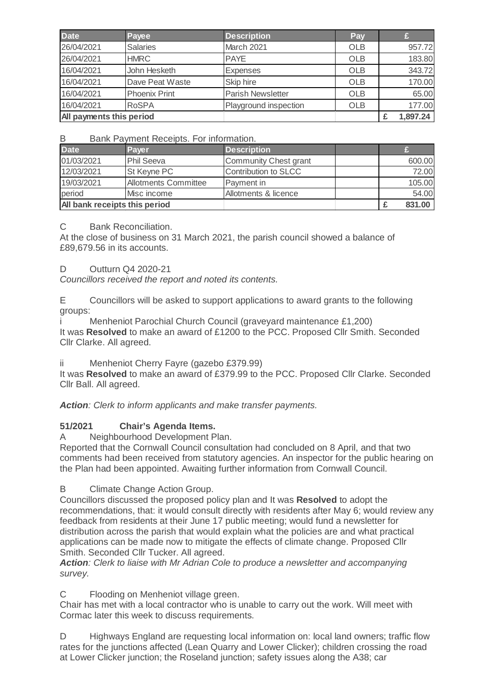| <b>Date</b>              | Payee                | <b>Description</b>       | Pay        |          |
|--------------------------|----------------------|--------------------------|------------|----------|
| 26/04/2021               | <b>Salaries</b>      | March 2021               | <b>OLB</b> | 957.72   |
| 26/04/2021               | <b>HMRC</b>          | <b>PAYE</b>              | <b>OLB</b> | 183.80   |
| 16/04/2021               | John Hesketh         | <b>Expenses</b>          | <b>OLB</b> | 343.72   |
| 16/04/2021               | Dave Peat Waste      | Skip hire                | <b>OLB</b> | 170.00   |
| 16/04/2021               | <b>Phoenix Print</b> | <b>Parish Newsletter</b> | <b>OLB</b> | 65.00    |
| 16/04/2021               | <b>RoSPA</b>         | Playground inspection    | <b>OLB</b> | 177.00   |
| All payments this period |                      |                          |            | 1,897.24 |

B Bank Payment Receipts. For information.

| <b>Date</b>                   | Paver                       | <b>Description</b>    |  |        |
|-------------------------------|-----------------------------|-----------------------|--|--------|
| 01/03/2021                    | <b>Phil Seeva</b>           | Community Chest grant |  | 600.00 |
| 12/03/2021                    | St Keyne PC                 | Contribution to SLCC  |  | 72.00  |
| 19/03/2021                    | <b>Allotments Committee</b> | Payment in            |  | 105.00 |
| period                        | Misc income                 | Allotments & licence  |  | 54.00  |
| All bank receipts this period |                             |                       |  | 831.00 |

#### C Bank Reconciliation.

At the close of business on 31 March 2021, the parish council showed a balance of £89,679.56 in its accounts.

#### D Outturn Q4 2020-21

Councillors received the report and noted its contents.

E Councillors will be asked to support applications to award grants to the following groups:

i Menheniot Parochial Church Council (graveyard maintenance £1,200) It was **Resolved** to make an award of £1200 to the PCC. Proposed Cllr Smith. Seconded Cllr Clarke. All agreed.

ii Menheniot Cherry Fayre (gazebo £379.99)

It was **Resolved** to make an award of £379.99 to the PCC. Proposed Cllr Clarke. Seconded Cllr Ball. All agreed.

**Action**: Clerk to inform applicants and make transfer payments.

## **51/2021 Chair's Agenda Items.**

A Neighbourhood Development Plan.

Reported that the Cornwall Council consultation had concluded on 8 April, and that two comments had been received from statutory agencies. An inspector for the public hearing on the Plan had been appointed. Awaiting further information from Cornwall Council.

B Climate Change Action Group.

Councillors discussed the proposed policy plan and It was **Resolved** to adopt the recommendations, that: it would consult directly with residents after May 6; would review any feedback from residents at their June 17 public meeting; would fund a newsletter for distribution across the parish that would explain what the policies are and what practical applications can be made now to mitigate the effects of climate change. Proposed Cllr Smith. Seconded Cllr Tucker. All agreed.

**Action**: Clerk to liaise with Mr Adrian Cole to produce a newsletter and accompanying survey.

C Flooding on Menheniot village green.

Chair has met with a local contractor who is unable to carry out the work. Will meet with Cormac later this week to discuss requirements.

D Highways England are requesting local information on: local land owners; traffic flow rates for the junctions affected (Lean Quarry and Lower Clicker); children crossing the road at Lower Clicker junction; the Roseland junction; safety issues along the A38; car